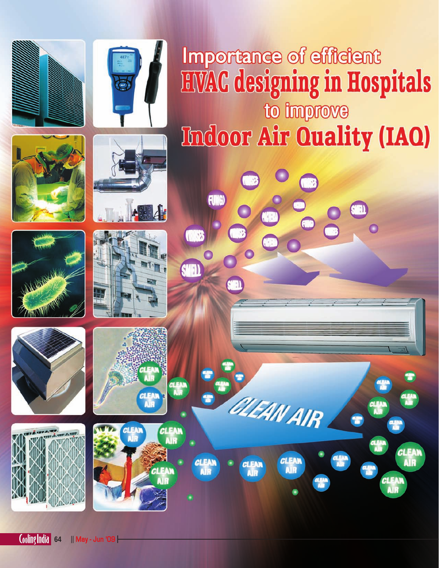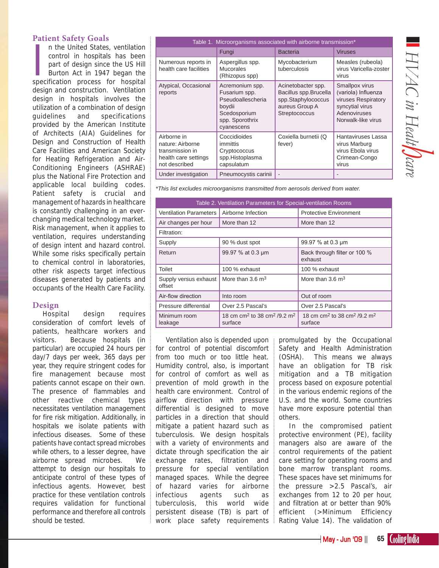# HVAC in Healt**/** Jear za za 1990.<br>Politika ya Tanzania<br>Waliofariki *HVAC in Healt care*

# **Patient Safety Goals**

In the United States, ventilation<br>
control in hospitals has been<br>
part of design since the US Hill<br>
Burton Act in 1947 began the<br>
specification process for hospital n the United States, ventilation control in hospitals has been part of design since the US Hill Burton Act in 1947 began the design and construction. Ventilation design in hospitals involves the utilization of a combination of design guidelines and specifications provided by the American Institute of Architects (AIA) Guidelines for Design and Construction of Health Care Facilities and American Society for Heating Refrigeration and Air-Conditioning Engineers (ASHRAE) plus the National Fire Protection and applicable local building codes. Patient safety is crucial and management of hazards in healthcare is constantly challenging in an everchanging medical technology market. Risk management, when it applies to ventilation, requires understanding of design intent and hazard control. While some risks specifically pertain to chemical control in laboratories, other risk aspects target infectious diseases generated by patients and occupants of the Health Care Facility.

## **Design**

Hospital design requires consideration of comfort levels of patients, healthcare workers and visitors. Because hospitals (in particular) are occupied 24 hours per day/7 days per week, 365 days per year, they require stringent codes for fire management because most patients cannot escape on their own. The presence of flammables and other reactive chemical types necessitates ventilation management for fire risk mitigation. Additionally, in hospitals we isolate patients with infectious diseases. Some of these patients have contact spread microbes while others, to a lesser degree, have airborne spread microbes. We attempt to design our hospitals to anticipate control of these types of infectious agents. However, best practice for these ventilation controls requires validation for functional performance and therefore all controls should be tested.

| Table 1. Microorganisms associated with airborne transmission*                              |                                                                                                                  |                                                                                                      |                                                                                                                       |  |  |  |
|---------------------------------------------------------------------------------------------|------------------------------------------------------------------------------------------------------------------|------------------------------------------------------------------------------------------------------|-----------------------------------------------------------------------------------------------------------------------|--|--|--|
|                                                                                             | Fungi                                                                                                            | <b>Bacteria</b>                                                                                      | <b>Viruses</b>                                                                                                        |  |  |  |
| Numerous reports in<br>health care facilities                                               | Aspergillus spp.<br><b>Mucorales</b><br>(Rhizopus spp)                                                           | Mycobacterium<br>tuberculosis                                                                        | Measles (rubeola)<br>virus Varicella-zoster<br>virus                                                                  |  |  |  |
| Atypical, Occasional<br>reports                                                             | Acremonium spp.<br>Fusarium spp.<br>Pseudoallescheria<br>boydii<br>Scedosporium<br>spp. Sporothrix<br>cyanescens | Acinetobacter spp.<br>Bacillus spp.Brucella<br>spp.Staphylococcus<br>aureus Group A<br>Streptococcus | Smallpox virus<br>(variola) Influenza<br>viruses Respiratory<br>syncytial virus<br>Adenoviruses<br>Norwalk-like virus |  |  |  |
| Airborne in<br>nature: Airborne<br>transmission in<br>health care settings<br>not described | Coccidioides<br>immittis<br>Cryptococcus<br>spp.Histoplasma<br>capsulatum                                        | Coxiella burnetii (Q<br>fever)                                                                       | Hantaviruses Lassa<br>virus Marburg<br>virus Ebola virus<br>Crimean-Congo<br>virus                                    |  |  |  |
| Under investigation                                                                         | Pneumocystis carinii                                                                                             | $\overline{\phantom{m}}$                                                                             |                                                                                                                       |  |  |  |

*\*This list excludes microorganisms transmitted from aerosols derived from water.*

| Table 2. Ventilation Parameters for Special-ventilation Rooms |                                                                            |                                                                            |  |  |  |
|---------------------------------------------------------------|----------------------------------------------------------------------------|----------------------------------------------------------------------------|--|--|--|
| <b>Ventilation Parameters</b>                                 | Airborne Infection                                                         | <b>Protective Environment</b>                                              |  |  |  |
| Air changes per hour                                          | More than 12                                                               | More than 12                                                               |  |  |  |
| Filtration:                                                   |                                                                            |                                                                            |  |  |  |
| Supply                                                        | 90 % dust spot                                                             | 99.97 % at 0.3 um                                                          |  |  |  |
| Return                                                        | 99.97 % at 0.3 µm                                                          | Back through filter or 100 %<br>exhaust                                    |  |  |  |
| Toilet                                                        | 100 % exhaust                                                              | 100 % exhaust                                                              |  |  |  |
| Supply versus exhaust<br>offset                               | More than $3.6 \text{ m}^3$                                                | More than $3.6 \text{ m}^3$                                                |  |  |  |
| Air-flow direction                                            | Into room                                                                  | Out of room                                                                |  |  |  |
| Pressure differential                                         | Over 2.5 Pascal's                                                          | Over 2.5 Pascal's                                                          |  |  |  |
| Minimum room<br>leakage                                       | 18 cm cm <sup>2</sup> to 38 cm <sup>2</sup> /9.2 m <sup>2</sup><br>surface | 18 cm cm <sup>2</sup> to 38 cm <sup>2</sup> /9.2 m <sup>2</sup><br>surface |  |  |  |

Ventilation also is depended upon for control of potential discomfort from too much or too little heat. Humidity control, also, is important for control of comfort as well as prevention of mold growth in the health care environment. Control of airflow direction with pressure differential is designed to move particles in a direction that should mitigate a patient hazard such as tuberculosis. We design hospitals with a variety of environments and dictate through specification the air exchange rates, filtration and pressure for special ventilation managed spaces. While the degree of hazard varies for airborne infectious agents such as tuberculosis, this world wide persistent disease (TB) is part of work place safety requirements

promulgated by the Occupational Safety and Health Administration (OSHA). This means we always have an obligation for TB risk mitigation and a TB mitigation process based on exposure potential in the various endemic regions of the U.S. and the world. Some countries have more exposure potential than others.

In the compromised patient protective environment (PE), facility managers also are aware of the control requirements of the patient care setting for operating rooms and bone marrow transplant rooms. These spaces have set minimums for the pressure >2.5 Pascal's, air exchanges from 12 to 20 per hour, and filtration at or better than 90% efficient (>Minimum Efficiency Rating Value 14). The validation of

May - Jun '09 || **65**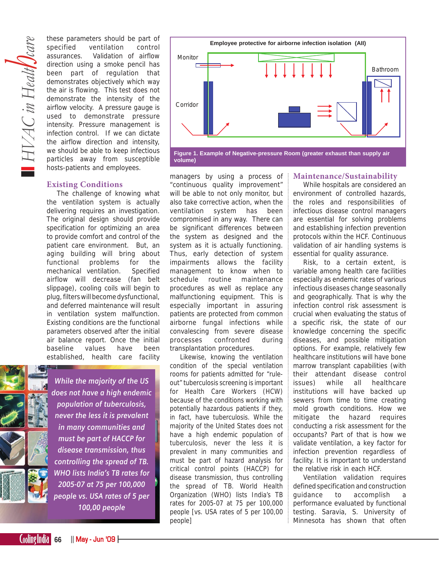these parameters should be part of specified ventilation control assurances. Validation of airflow direction using a smoke pencil has been part of regulation that demonstrates objectively which way the air is flowing. This test does not demonstrate the intensity of the airflow velocity. A pressure gauge is used to demonstrate pressure intensity. Pressure management is infection control. If we can dictate the airflow direction and intensity, we should be able to keep infectious particles away from susceptible hosts-patients and employees.

#### **Existing Conditions**

The challenge of knowing what the ventilation system is actually delivering requires an investigation. The original design should provide specification for optimizing an area to provide comfort and control of the patient care environment. But, an aging building will bring about functional problems for the mechanical ventilation. Specified airflow will decrease (fan belt slippage), cooling coils will begin to plug, filters will become dysfunctional, and deferred maintenance will result in ventilation system malfunction. Existing conditions are the functional parameters observed after the initial air balance report. Once the initial baseline values have been established, health care facility



*While the majority of the US does not have a high endemic population of tuberculosis, never the less it is prevalent in many communities and must be part of HACCP for disease transmission, thus controlling the spread of TB. WHO lists India's TB rates for 2005-07 at 75 per 100,000 people vs. USA rates of 5 per 100,00 people*



managers by using a process of "continuous quality improvement" will be able to not only monitor, but also take corrective action, when the ventilation system has been compromised in any way. There can be significant differences between the system as designed and the system as it is actually functioning. Thus, early detection of system impairments allows the facility management to know when to schedule routine maintenance procedures as well as replace any malfunctioning equipment. This is especially important in assuring patients are protected from common airborne fungal infections while convalescing from severe disease processes confronted during transplantation procedures.

Likewise, knowing the ventilation condition of the special ventilation rooms for patients admitted for "ruleout" tuberculosis screening is important for Health Care Workers (HCW) because of the conditions working with potentially hazardous patients if they, in fact, have tuberculosis. While the majority of the United States does not have a high endemic population of tuberculosis, never the less it is prevalent in many communities and must be part of hazard analysis for critical control points (HACCP) for disease transmission, thus controlling the spread of TB. World Health Organization (WHO) lists India's TB rates for 2005-07 at 75 per 100,000 people [vs. USA rates of 5 per 100,00 people]

#### **Maintenance/Sustainability**

While hospitals are considered an environment of controlled hazards, the roles and responsibilities of infectious disease control managers are essential for solving problems and establishing infection prevention protocols within the HCF. Continuous validation of air handling systems is essential for quality assurance.

Risk, to a certain extent, is variable among health care facilities especially as endemic rates of various infectious diseases change seasonally and geographically. That is why the infection control risk assessment is crucial when evaluating the status of a specific risk, the state of our knowledge concerning the specific diseases, and possible mitigation options. For example, relatively few healthcare institutions will have bone marrow transplant capabilities (with their attendant disease control issues) while all healthcare institutions will have backed up sewers from time to time creating mold growth conditions. How we mitigate the hazard requires conducting a risk assessment for the occupants? Part of that is how we validate ventilation, a key factor for infection prevention regardless of facility. It is important to understand the relative risk in each HCF.

Ventilation validation requires defined specification and construction quidance to accomplish performance evaluated by functional testing. Saravia, S. University of Minnesota has shown that often

**66** || May - Jun '09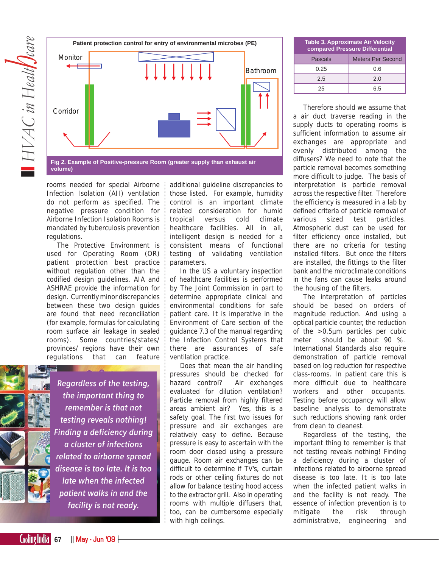

**volume)**

rooms needed for special Airborne Infection Isolation (AII) ventilation do not perform as specified. The negative pressure condition for Airborne Infection Isolation Rooms is mandated by tuberculosis prevention regulations.

The Protective Environment is used for Operating Room (OR) patient protection best practice without regulation other than the codified design guidelines. AIA and ASHRAE provide the information for design. Currently minor discrepancies between these two design guides are found that need reconciliation (for example, formulas for calculating room surface air leakage in sealed rooms). Some countries/states/ provinces/ regions have their own regulations that can feature



*Regardless of the testing, the important thing to remember is that not testing reveals nothing! Finding a deficiency during a cluster of infections related to airborne spread disease is too late. It is too late when the infected patient walks in and the facility is not ready.*

additional guideline discrepancies to those listed. For example, humidity control is an important climate related consideration for humid tropical versus cold climate healthcare facilities. All in all, intelligent design is needed for a consistent means of functional testing of validating ventilation parameters.

In the US a voluntary inspection of healthcare facilities is performed by The Joint Commission in part to determine appropriate clinical and environmental conditions for safe patient care. It is imperative in the Environment of Care section of the guidance 7.3 of the manual regarding the Infection Control Systems that there are assurances of safe ventilation practice.

Does that mean the air handling pressures should be checked for hazard control? Air exchanges evaluated for dilution ventilation? Particle removal from highly filtered areas ambient air? Yes, this is a safety goal. The first two issues for pressure and air exchanges are relatively easy to define. Because pressure is easy to ascertain with the room door closed using a pressure gauge. Room air exchanges can be difficult to determine if TV's, curtain rods or other ceiling fixtures do not allow for balance testing hood access to the extractor grill. Also in operating rooms with multiple diffusers that, too, can be cumbersome especially with high ceilings.

| <b>Table 3. Approximate Air Velocity</b><br>compared Pressure Differential |                          |  |  |  |
|----------------------------------------------------------------------------|--------------------------|--|--|--|
| Pascals                                                                    | <b>Meters Per Second</b> |  |  |  |
| 0.25                                                                       | 0.6                      |  |  |  |
| 2.5                                                                        | 2.0                      |  |  |  |
| 25                                                                         | 6.5                      |  |  |  |

Therefore should we assume that a air duct traverse reading in the supply ducts to operating rooms is sufficient information to assume air exchanges are appropriate and evenly distributed among the diffusers? We need to note that the particle removal becomes something more difficult to judge. The basis of interpretation is particle removal across the respective filter. Therefore the efficiency is measured in a lab by defined criteria of particle removal of various sized test particles. Atmospheric dust can be used for filter efficiency once installed, but there are no criteria for testing installed filters. But once the filters are installed, the fittings to the filter bank and the microclimate conditions in the fans can cause leaks around the housing of the filters.

The interpretation of particles should be based on orders of magnitude reduction. And using a optical particle counter, the reduction of the >0.5µm particles per cubic meter should be about 90 %. International Standards also require demonstration of particle removal based on log reduction for respective class-rooms. In patient care this is more difficult due to healthcare workers and other occupants. Testing before occupancy will allow baseline analysis to demonstrate such reductions showing rank order from clean to cleanest.

Regardless of the testing, the important thing to remember is that not testing reveals nothing! Finding a deficiency during a cluster of infections related to airborne spread disease is too late. It is too late when the infected patient walks in and the facility is not ready. The essence of infection prevention is to mitigate the risk through administrative, engineering and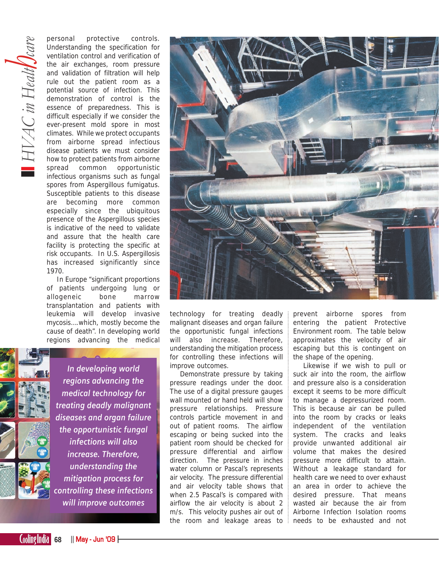personal protective controls. Understanding the specification for ventilation control and verification of the air exchanges, room pressure and validation of filtration will help rule out the patient room as a potential source of infection. This demonstration of control is the essence of preparedness. This is difficult especially if we consider the ever-present mold spore in most climates. While we protect occupants from airborne spread infectious disease patients we must consider how to protect patients from airborne spread common opportunistic infectious organisms such as fungal spores from Aspergillous fumigatus. Susceptible patients to this disease are becoming more common especially since the ubiquitous presence of the Aspergillous species is indicative of the need to validate and assure that the health care facility is protecting the specific at risk occupants. In U.S. Aspergillosis has increased significantly since 1970.

In Europe "significant proportions of patients undergoing lung or allogeneic bone marrow transplantation and patients with leukemia will develop invasive mycosis….which, mostly become the cause of death". In developing world regions advancing the medical



*In developing world regions advancing the medical technology for treating deadly malignant diseases and organ failure the opportunistic fungal infections will also increase. Therefore, understanding the mitigation process for controlling these infections will improve outcomes*



technology for treating deadly malignant diseases and organ failure the opportunistic fungal infections will also increase. Therefore, understanding the mitigation process for controlling these infections will improve outcomes.

Demonstrate pressure by taking pressure readings under the door. The use of a digital pressure gauges wall mounted or hand held will show pressure relationships. Pressure controls particle movement in and out of patient rooms. The airflow escaping or being sucked into the patient room should be checked for pressure differential and airflow direction. The pressure in inches water column or Pascal's represents air velocity. The pressure differential and air velocity table shows that when 2.5 Pascal's is compared with airflow the air velocity is about 2 m/s. This velocity pushes air out of the room and leakage areas to prevent airborne spores from entering the patient Protective Environment room. The table below approximates the velocity of air escaping but this is contingent on the shape of the opening.

Likewise if we wish to pull or suck air into the room, the airflow and pressure also is a consideration except it seems to be more difficult to manage a depressurized room. This is because air can be pulled into the room by cracks or leaks independent of the ventilation system. The cracks and leaks provide unwanted additional air volume that makes the desired pressure more difficult to attain. Without a leakage standard for health care we need to over exhaust an area in order to achieve the desired pressure. That means wasted air because the air from Airborne Infection Isolation rooms needs to be exhausted and not

 $\begin{array}{|c|c|c|c|c|}\n\hline\n\text{Coling} & \text{hdia} & \text{68} & \text{|| May - Jun 'O9} \end{array}$